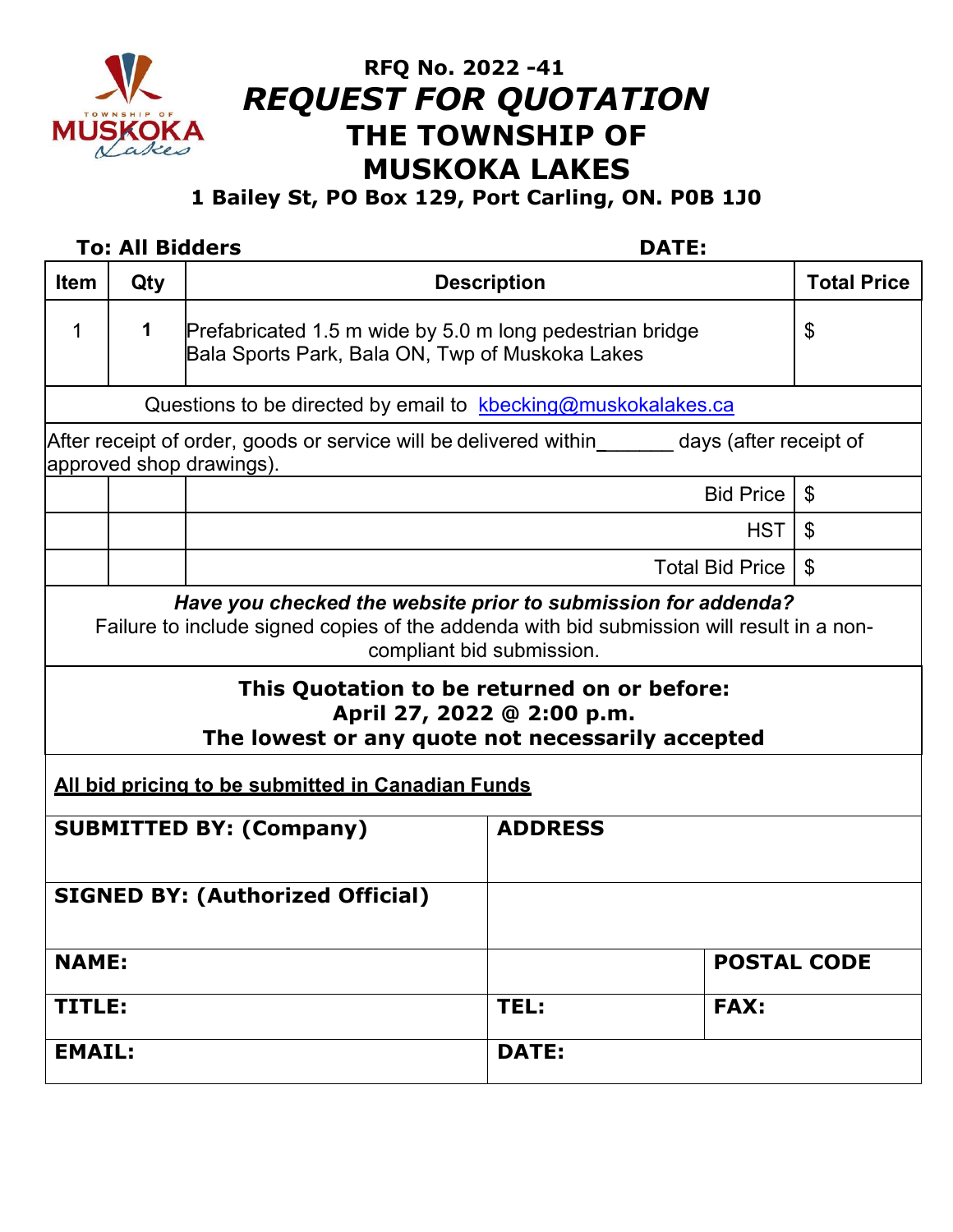

# **RFQ No. 2022 -41** *REQUEST FOR QUOTATION*  **THE TOWNSHIP OF MUSKOKA LAKES**

**1 Bailey St, PO Box 129, Port Carling, ON. P0B 1J0**

# **To: All Bidders DATE: Ifem** Qty **Description Description Total Price** 1 **1** Prefabricated 1.5 m wide by 5.0 m long pedestrian bridge Bala Sports Park, Bala ON, Twp of Muskoka Lakes \$ Questions to be directed by email to kbecking@muskokalakes.ca After receipt of order, goods or service will be delivered within days (after receipt of approved shop drawings). Bid Price  $\frac{1}{3}$  $HST$   $\frac{1}{3}$ Total Bid Price  $\frac{1}{3}$ *Have you checked the website prior to submission for addenda?* Failure to include signed copies of the addenda with bid submission will result in a noncompliant bid submission. **This Quotation to be returned on or before: April 27, 2022 @ 2:00 p.m. The lowest or any quote not necessarily accepted All bid pricing to be submitted in Canadian Funds SUBMITTED BY: (Company) ADDRESS SIGNED BY: (Authorized Official) NAME: POSTAL CODE TITLE: TEL: FAX: EMAIL: DATE:**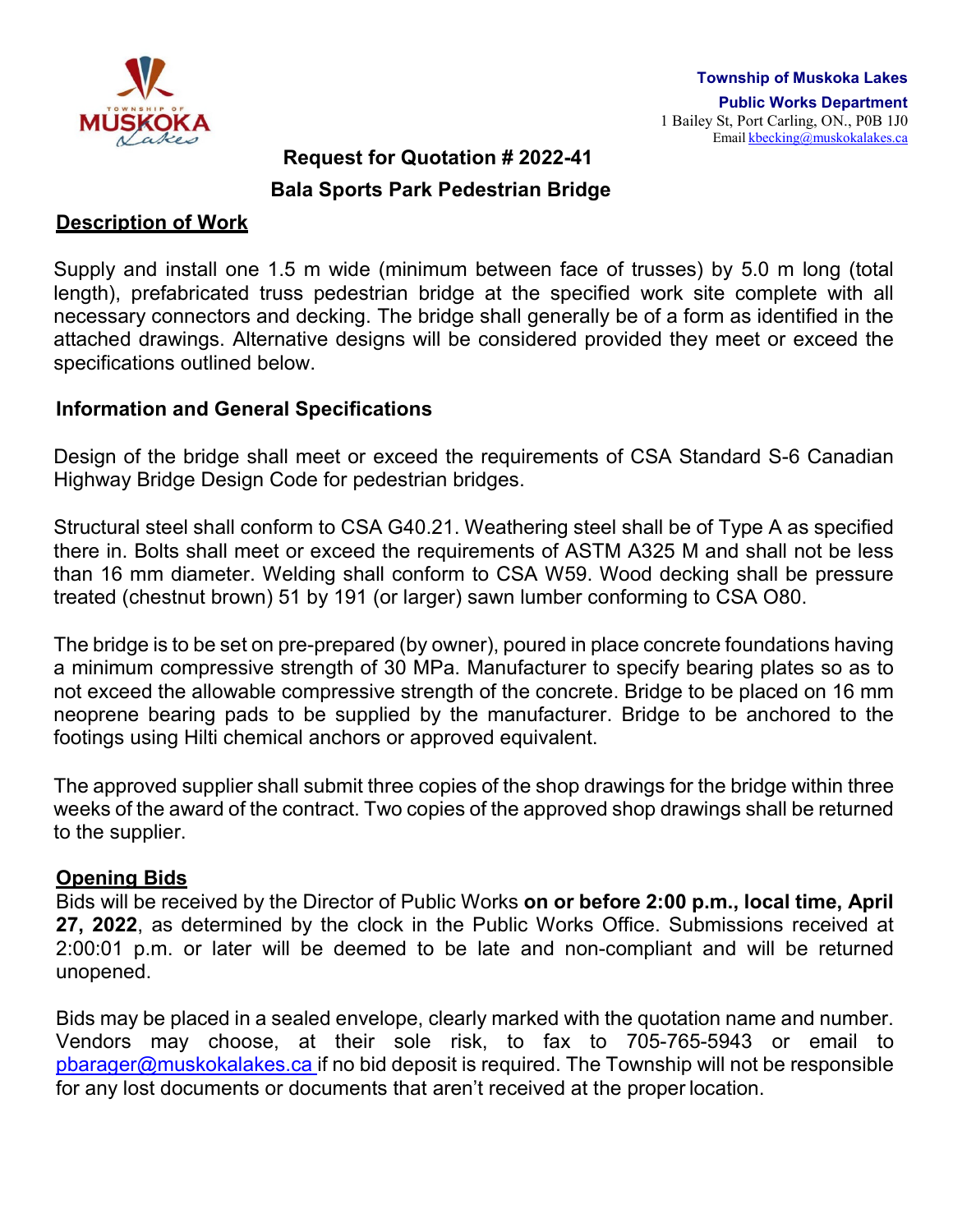

#### **Request for Quotation # 2022-41**

## **Bala Sports Park Pedestrian Bridge**

#### **Description of Work**

Supply and install one 1.5 m wide (minimum between face of trusses) by 5.0 m long (total length), prefabricated truss pedestrian bridge at the specified work site complete with all necessary connectors and decking. The bridge shall generally be of a form as identified in the attached drawings. Alternative designs will be considered provided they meet or exceed the specifications outlined below.

#### **Information and General Specifications**

Design of the bridge shall meet or exceed the requirements of CSA Standard S-6 Canadian Highway Bridge Design Code for pedestrian bridges.

Structural steel shall conform to CSA G40.21. Weathering steel shall be of Type A as specified there in. Bolts shall meet or exceed the requirements of ASTM A325 M and shall not be less than 16 mm diameter. Welding shall conform to CSA W59. Wood decking shall be pressure treated (chestnut brown) 51 by 191 (or larger) sawn lumber conforming to CSA O80.

The bridge is to be set on pre-prepared (by owner), poured in place concrete foundations having a minimum compressive strength of 30 MPa. Manufacturer to specify bearing plates so as to not exceed the allowable compressive strength of the concrete. Bridge to be placed on 16 mm neoprene bearing pads to be supplied by the manufacturer. Bridge to be anchored to the footings using Hilti chemical anchors or approved equivalent.

The approved supplier shall submit three copies of the shop drawings for the bridge within three weeks of the award of the contract. Two copies of the approved shop drawings shall be returned to the supplier.

#### **Opening Bids**

Bids will be received by the Director of Public Works **on or before 2:00 p.m., local time, April 27, 2022**, as determined by the clock in the Public Works Office. Submissions received at 2:00:01 p.m. or later will be deemed to be late and non-compliant and will be returned unopened.

Bids may be placed in a sealed envelope, clearly marked with the quotation name and number. Vendors may choose, at their sole risk, to fax to 705-765-5943 or email to [pbarager@muskokalakes.ca](mailto:pbarager@muskokalakes.ca) if no bid deposit is required. The Township will not be responsible for any lost documents or documents that aren't received at the proper location.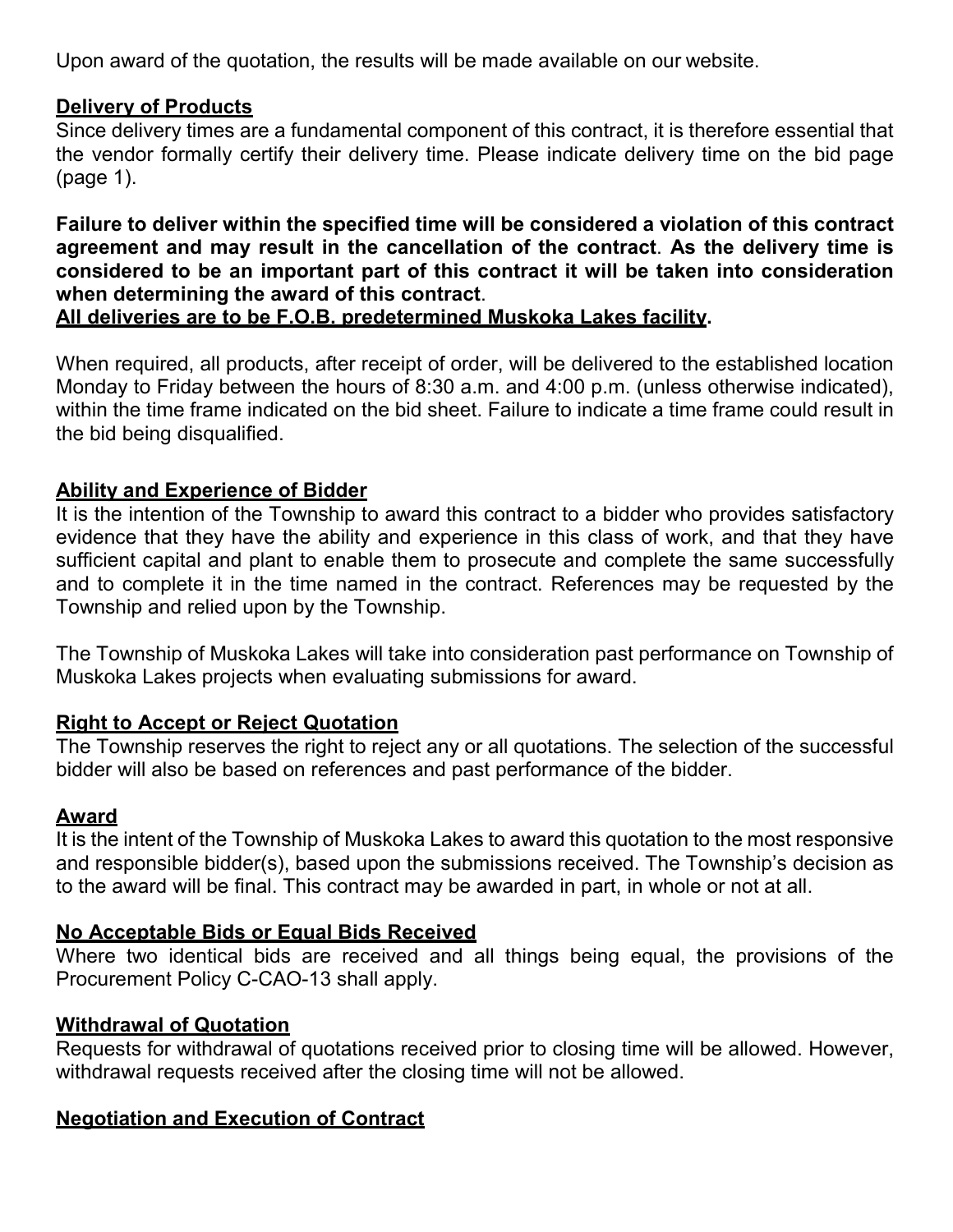Upon award of the quotation, the results will be made available on our website.

# **Delivery of Products**

Since delivery times are a fundamental component of this contract, it is therefore essential that the vendor formally certify their delivery time. Please indicate delivery time on the bid page (page 1).

**Failure to deliver within the specified time will be considered a violation of this contract agreement and may result in the cancellation of the contract**. **As the delivery time is considered to be an important part of this contract it will be taken into consideration when determining the award of this contract**.

# **All deliveries are to be F.O.B. predetermined Muskoka Lakes facility.**

When required, all products, after receipt of order, will be delivered to the established location Monday to Friday between the hours of 8:30 a.m. and 4:00 p.m. (unless otherwise indicated), within the time frame indicated on the bid sheet. Failure to indicate a time frame could result in the bid being disqualified.

# **Ability and Experience of Bidder**

It is the intention of the Township to award this contract to a bidder who provides satisfactory evidence that they have the ability and experience in this class of work, and that they have sufficient capital and plant to enable them to prosecute and complete the same successfully and to complete it in the time named in the contract. References may be requested by the Township and relied upon by the Township.

The Township of Muskoka Lakes will take into consideration past performance on Township of Muskoka Lakes projects when evaluating submissions for award.

# **Right to Accept or Reject Quotation**

The Township reserves the right to reject any or all quotations. The selection of the successful bidder will also be based on references and past performance of the bidder.

# **Award**

It is the intent of the Township of Muskoka Lakes to award this quotation to the most responsive and responsible bidder(s), based upon the submissions received. The Township's decision as to the award will be final. This contract may be awarded in part, in whole or not at all.

# **No Acceptable Bids or Equal Bids Received**

Where two identical bids are received and all things being equal, the provisions of the Procurement Policy C-CAO-13 shall apply.

# **Withdrawal of Quotation**

Requests for withdrawal of quotations received prior to closing time will be allowed. However, withdrawal requests received after the closing time will not be allowed.

# **Negotiation and Execution of Contract**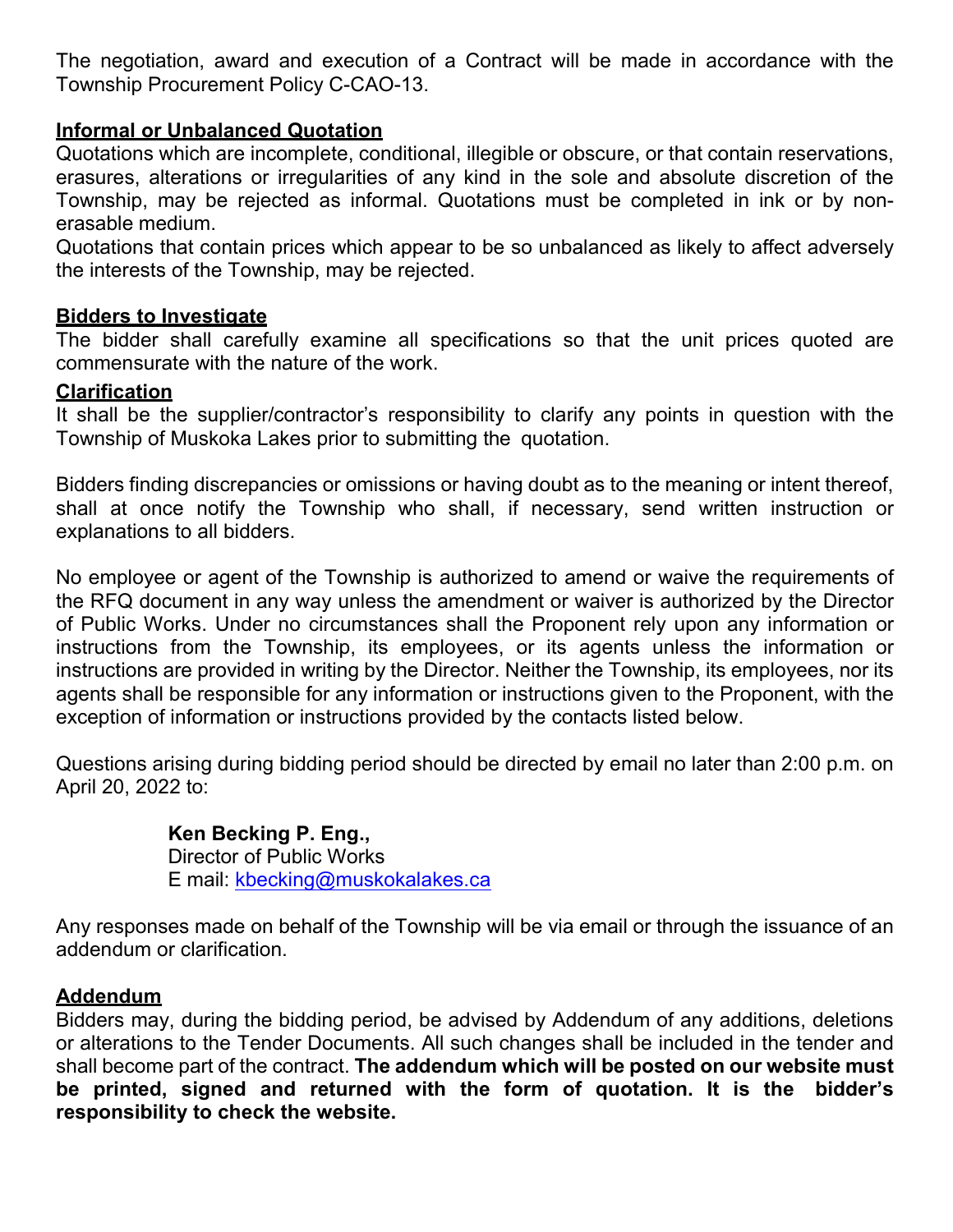The negotiation, award and execution of a Contract will be made in accordance with the Township Procurement Policy C-CAO-13.

# **Informal or Unbalanced Quotation**

Quotations which are incomplete, conditional, illegible or obscure, or that contain reservations, erasures, alterations or irregularities of any kind in the sole and absolute discretion of the Township, may be rejected as informal. Quotations must be completed in ink or by nonerasable medium.

Quotations that contain prices which appear to be so unbalanced as likely to affect adversely the interests of the Township, may be rejected.

## **Bidders to Investigate**

The bidder shall carefully examine all specifications so that the unit prices quoted are commensurate with the nature of the work.

## **Clarification**

It shall be the supplier/contractor's responsibility to clarify any points in question with the Township of Muskoka Lakes prior to submitting the quotation.

Bidders finding discrepancies or omissions or having doubt as to the meaning or intent thereof, shall at once notify the Township who shall, if necessary, send written instruction or explanations to all bidders.

No employee or agent of the Township is authorized to amend or waive the requirements of the RFQ document in any way unless the amendment or waiver is authorized by the Director of Public Works. Under no circumstances shall the Proponent rely upon any information or instructions from the Township, its employees, or its agents unless the information or instructions are provided in writing by the Director. Neither the Township, its employees, nor its agents shall be responsible for any information or instructions given to the Proponent, with the exception of information or instructions provided by the contacts listed below.

Questions arising during bidding period should be directed by email no later than 2:00 p.m. on April 20, 2022 to:

# **Ken Becking P. Eng.,**

Director of Public Works E mail: [kbecking@muskokalakes.ca](mailto:kbecking@muskokalakes.ca)

Any responses made on behalf of the Township will be via email or through the issuance of an addendum or clarification.

# **Addendum**

Bidders may, during the bidding period, be advised by Addendum of any additions, deletions or alterations to the Tender Documents. All such changes shall be included in the tender and shall become part of the contract. **The addendum which will be posted on our website must be printed, signed and returned with the form of quotation. It is the bidder's responsibility to check the website.**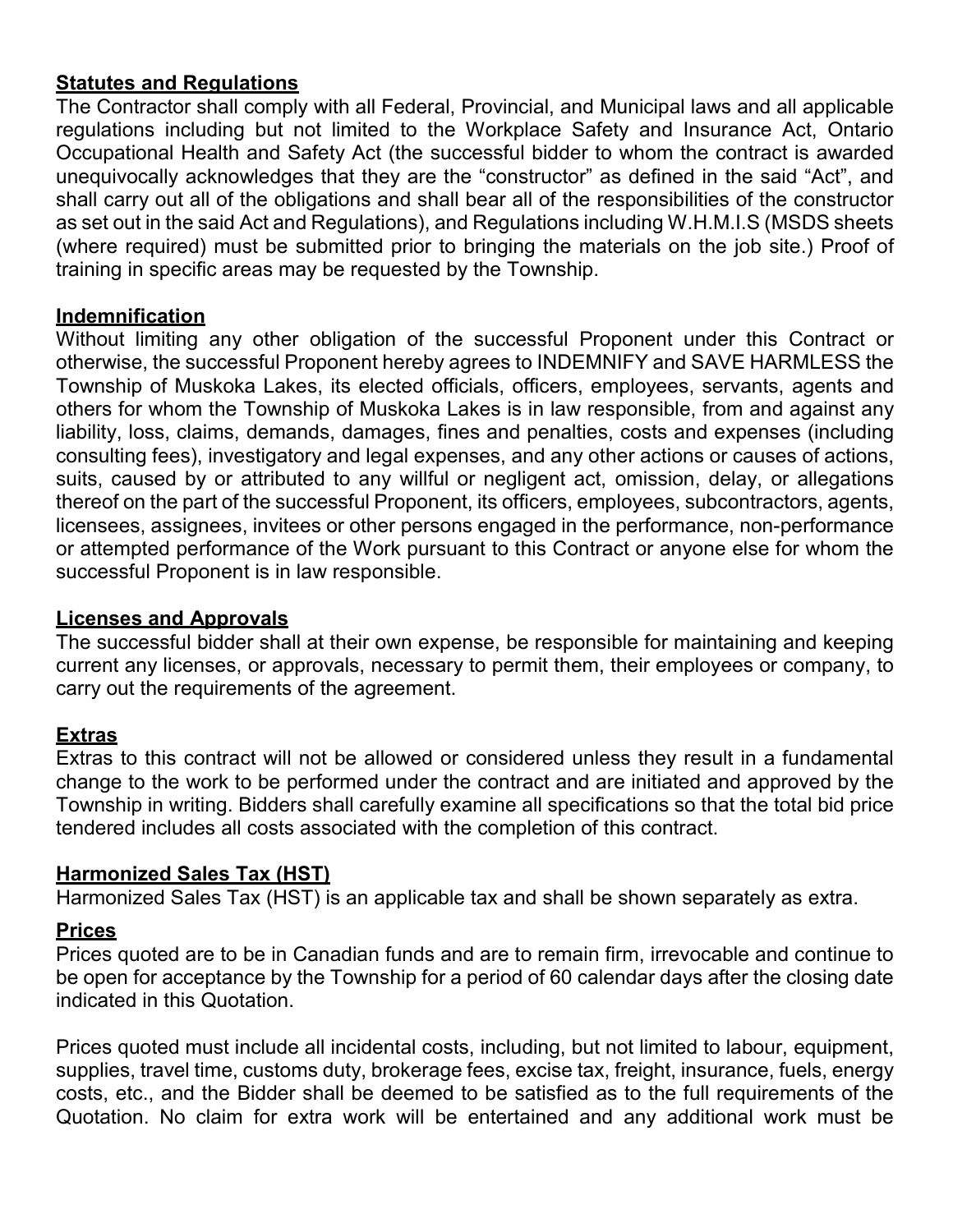# **Statutes and Regulations**

The Contractor shall comply with all Federal, Provincial, and Municipal laws and all applicable regulations including but not limited to the Workplace Safety and Insurance Act, Ontario Occupational Health and Safety Act (the successful bidder to whom the contract is awarded unequivocally acknowledges that they are the "constructor" as defined in the said "Act", and shall carry out all of the obligations and shall bear all of the responsibilities of the constructor as set out in the said Act and Regulations), and Regulations including W.H.M.I.S (MSDS sheets (where required) must be submitted prior to bringing the materials on the job site.) Proof of training in specific areas may be requested by the Township.

## **Indemnification**

Without limiting any other obligation of the successful Proponent under this Contract or otherwise, the successful Proponent hereby agrees to INDEMNIFY and SAVE HARMLESS the Township of Muskoka Lakes, its elected officials, officers, employees, servants, agents and others for whom the Township of Muskoka Lakes is in law responsible, from and against any liability, loss, claims, demands, damages, fines and penalties, costs and expenses (including consulting fees), investigatory and legal expenses, and any other actions or causes of actions, suits, caused by or attributed to any willful or negligent act, omission, delay, or allegations thereof on the part of the successful Proponent, its officers, employees, subcontractors, agents, licensees, assignees, invitees or other persons engaged in the performance, non-performance or attempted performance of the Work pursuant to this Contract or anyone else for whom the successful Proponent is in law responsible.

#### **Licenses and Approvals**

The successful bidder shall at their own expense, be responsible for maintaining and keeping current any licenses, or approvals, necessary to permit them, their employees or company, to carry out the requirements of the agreement.

#### **Extras**

Extras to this contract will not be allowed or considered unless they result in a fundamental change to the work to be performed under the contract and are initiated and approved by the Township in writing. Bidders shall carefully examine all specifications so that the total bid price tendered includes all costs associated with the completion of this contract.

#### **Harmonized Sales Tax (HST)**

Harmonized Sales Tax (HST) is an applicable tax and shall be shown separately as extra.

#### **Prices**

Prices quoted are to be in Canadian funds and are to remain firm, irrevocable and continue to be open for acceptance by the Township for a period of 60 calendar days after the closing date indicated in this Quotation.

Prices quoted must include all incidental costs, including, but not limited to labour, equipment, supplies, travel time, customs duty, brokerage fees, excise tax, freight, insurance, fuels, energy costs, etc., and the Bidder shall be deemed to be satisfied as to the full requirements of the Quotation. No claim for extra work will be entertained and any additional work must be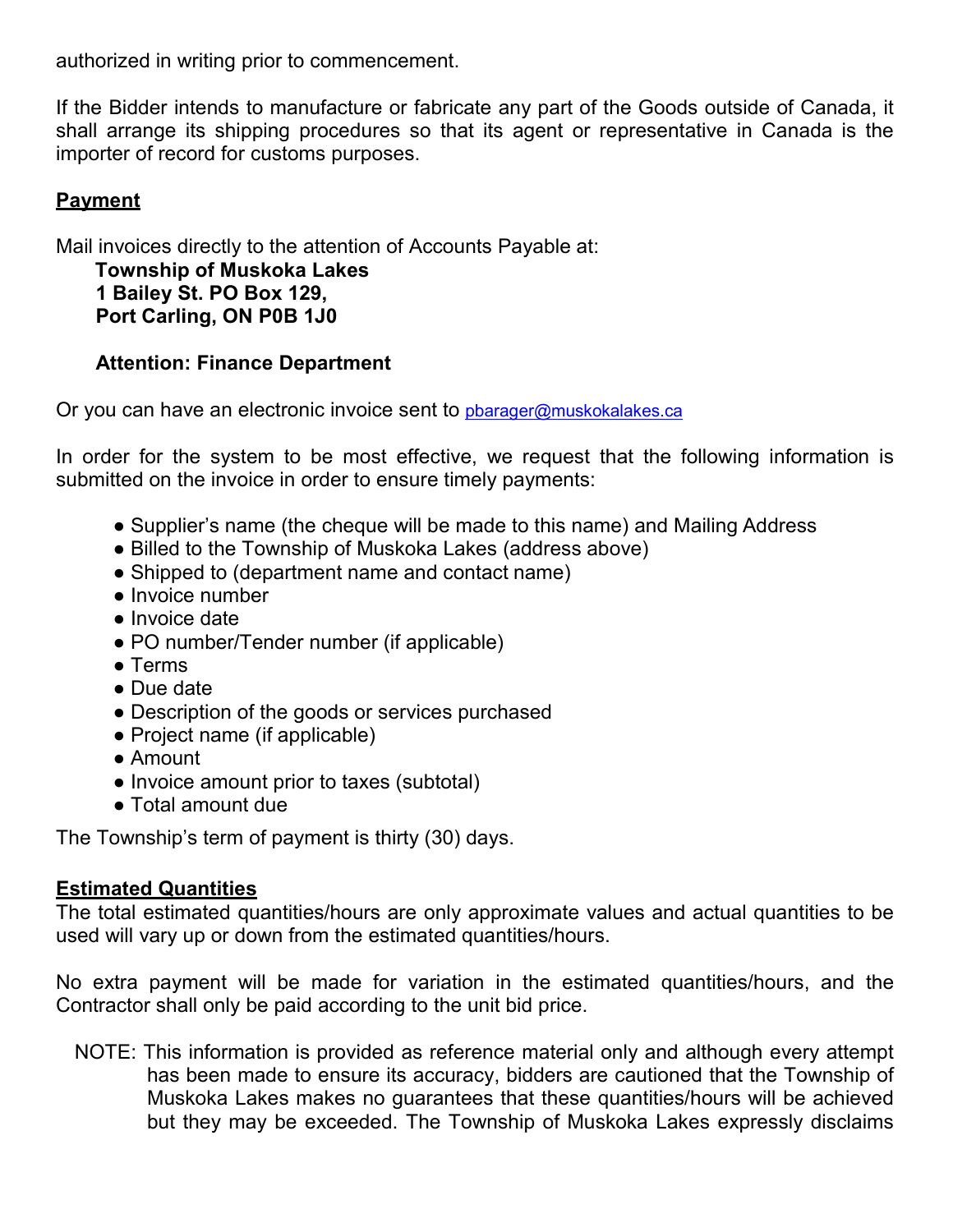authorized in writing prior to commencement.

If the Bidder intends to manufacture or fabricate any part of the Goods outside of Canada, it shall arrange its shipping procedures so that its agent or representative in Canada is the importer of record for customs purposes.

# **Payment**

Mail invoices directly to the attention of Accounts Payable at:

**Township of Muskoka Lakes 1 Bailey St. PO Box 129, Port Carling, ON P0B 1J0**

## **Attention: Finance Department**

Or you can have an electronic invoice sent to pharager@muskokalakes.ca

In order for the system to be most effective, we request that the following information is submitted on the invoice in order to ensure timely payments:

- Supplier's name (the cheque will be made to this name) and Mailing Address
- Billed to the Township of Muskoka Lakes (address above)
- Shipped to (department name and contact name)
- Invoice number
- Invoice date
- PO number/Tender number (if applicable)
- Terms
- Due date
- Description of the goods or services purchased
- Project name (if applicable)
- Amount
- Invoice amount prior to taxes (subtotal)
- Total amount due

The Township's term of payment is thirty (30) days.

#### **Estimated Quantities**

The total estimated quantities/hours are only approximate values and actual quantities to be used will vary up or down from the estimated quantities/hours.

No extra payment will be made for variation in the estimated quantities/hours, and the Contractor shall only be paid according to the unit bid price.

NOTE: This information is provided as reference material only and although every attempt has been made to ensure its accuracy, bidders are cautioned that the Township of Muskoka Lakes makes no guarantees that these quantities/hours will be achieved but they may be exceeded. The Township of Muskoka Lakes expressly disclaims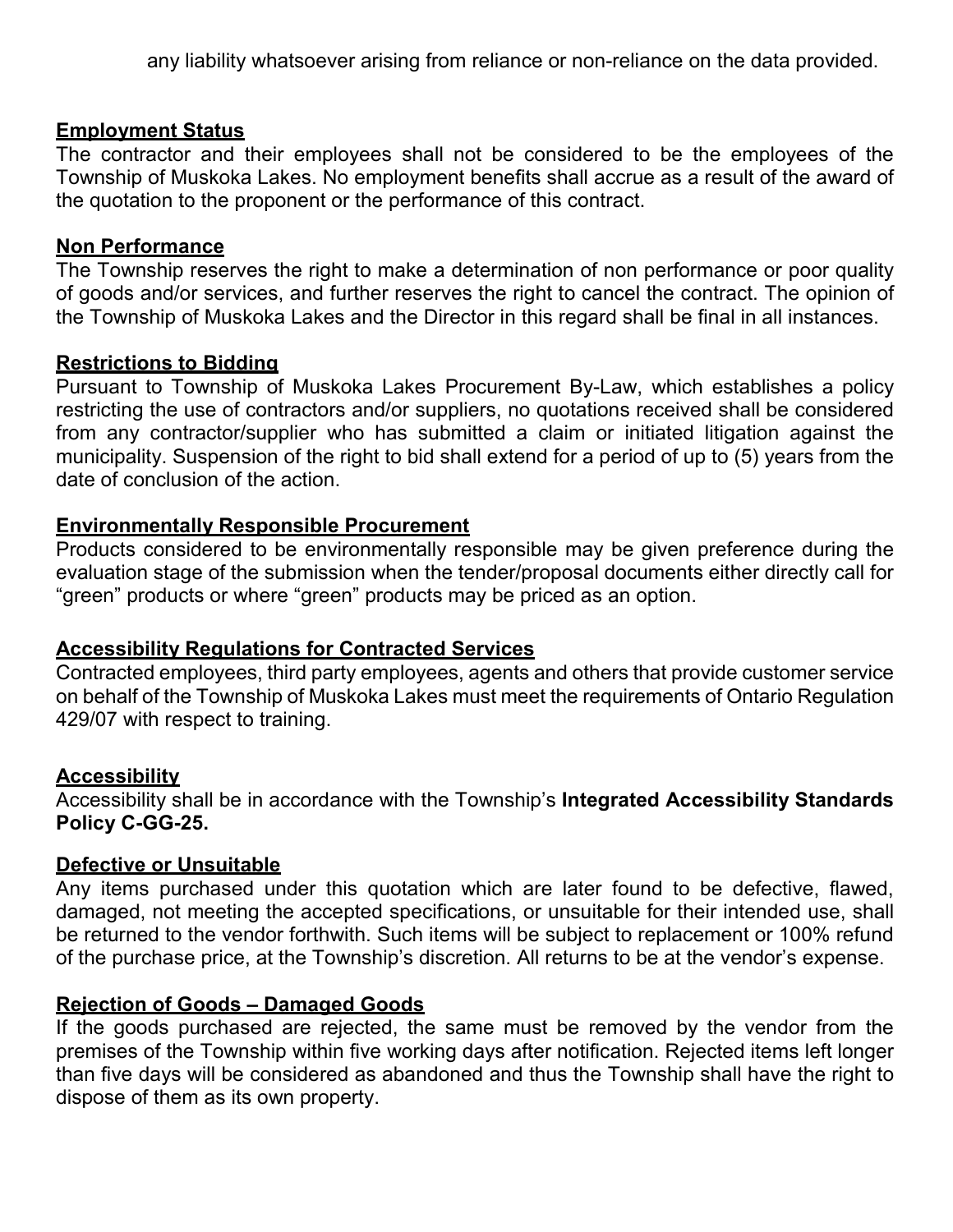any liability whatsoever arising from reliance or non-reliance on the data provided.

#### **Employment Status**

The contractor and their employees shall not be considered to be the employees of the Township of Muskoka Lakes. No employment benefits shall accrue as a result of the award of the quotation to the proponent or the performance of this contract.

#### **Non Performance**

The Township reserves the right to make a determination of non performance or poor quality of goods and/or services, and further reserves the right to cancel the contract. The opinion of the Township of Muskoka Lakes and the Director in this regard shall be final in all instances.

#### **Restrictions to Bidding**

Pursuant to Township of Muskoka Lakes Procurement By-Law, which establishes a policy restricting the use of contractors and/or suppliers, no quotations received shall be considered from any contractor/supplier who has submitted a claim or initiated litigation against the municipality. Suspension of the right to bid shall extend for a period of up to (5) years from the date of conclusion of the action.

#### **Environmentally Responsible Procurement**

Products considered to be environmentally responsible may be given preference during the evaluation stage of the submission when the tender/proposal documents either directly call for "green" products or where "green" products may be priced as an option.

#### **Accessibility Regulations for Contracted Services**

Contracted employees, third party employees, agents and others that provide customer service on behalf of the Township of Muskoka Lakes must meet the requirements of Ontario Regulation 429/07 with respect to training.

#### **Accessibility**

Accessibility shall be in accordance with the Township's **Integrated Accessibility Standards Policy C-GG-25.**

#### **Defective or Unsuitable**

Any items purchased under this quotation which are later found to be defective, flawed, damaged, not meeting the accepted specifications, or unsuitable for their intended use, shall be returned to the vendor forthwith. Such items will be subject to replacement or 100% refund of the purchase price, at the Township's discretion. All returns to be at the vendor's expense.

#### **Rejection of Goods – Damaged Goods**

If the goods purchased are rejected, the same must be removed by the vendor from the premises of the Township within five working days after notification. Rejected items left longer than five days will be considered as abandoned and thus the Township shall have the right to dispose of them as its own property.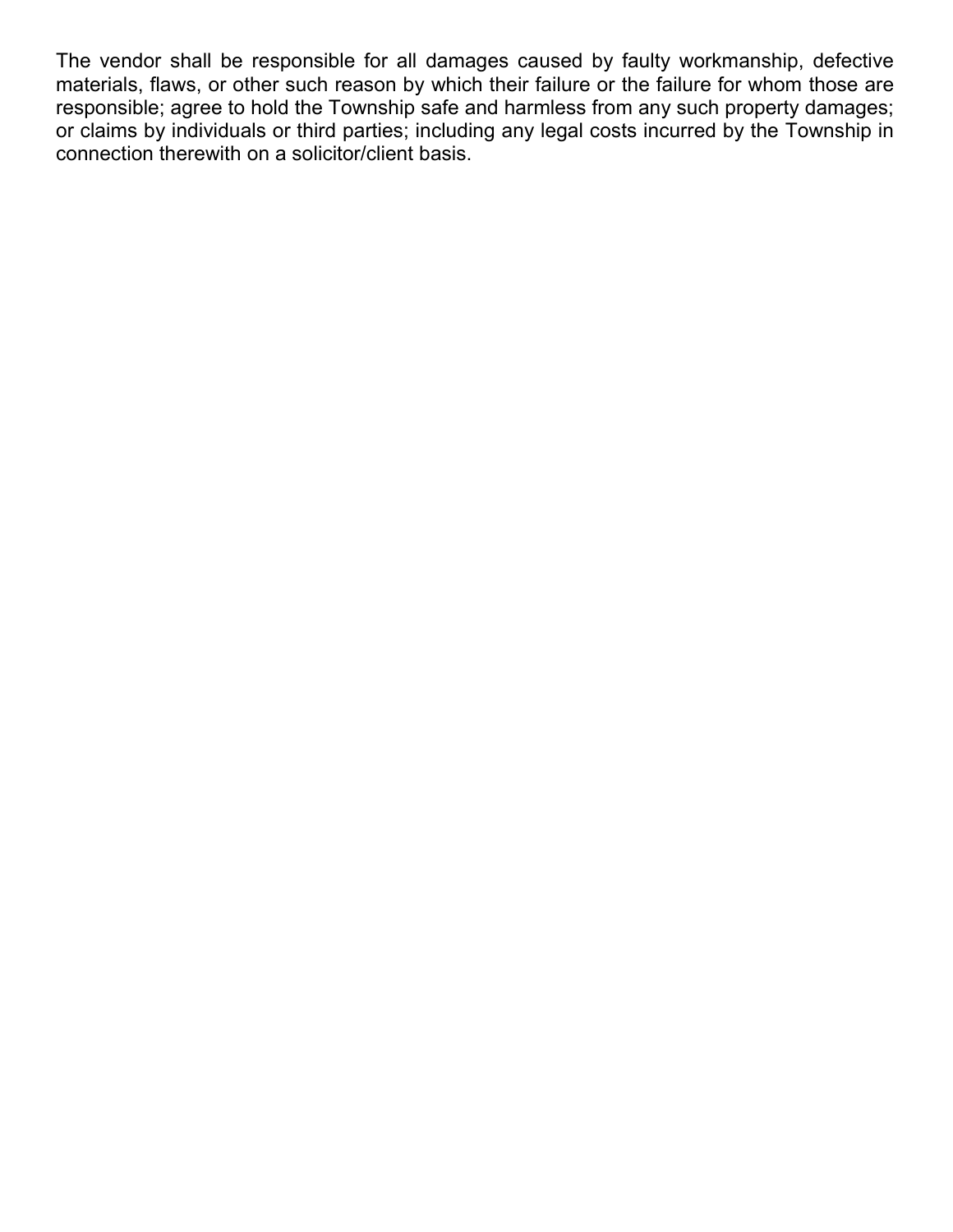The vendor shall be responsible for all damages caused by faulty workmanship, defective materials, flaws, or other such reason by which their failure or the failure for whom those are responsible; agree to hold the Township safe and harmless from any such property damages; or claims by individuals or third parties; including any legal costs incurred by the Township in connection therewith on a solicitor/client basis.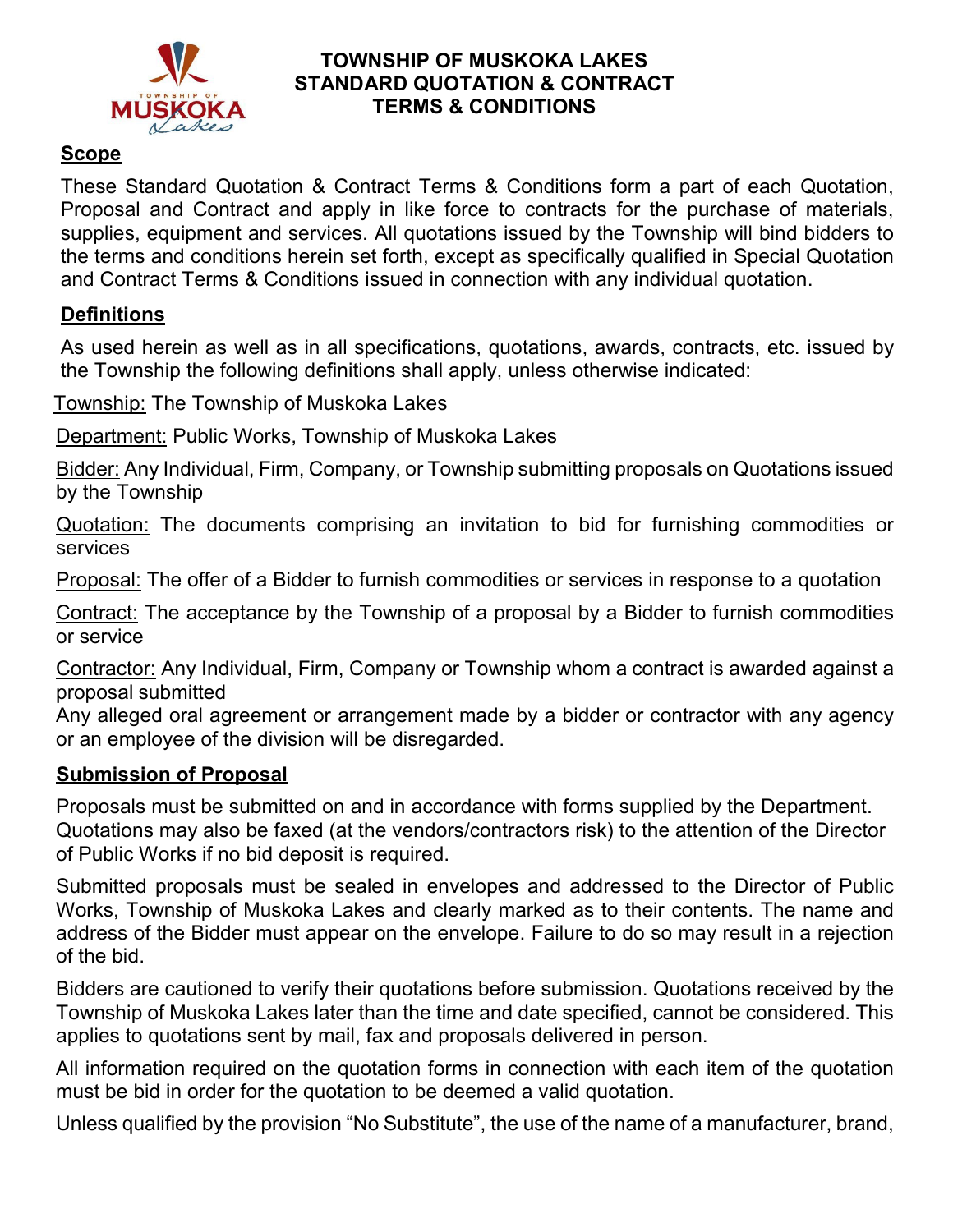

## **TOWNSHIP OF MUSKOKA LAKES STANDARD QUOTATION & CONTRACT TERMS & CONDITIONS**

## **Scope**

These Standard Quotation & Contract Terms & Conditions form a part of each Quotation, Proposal and Contract and apply in like force to contracts for the purchase of materials, supplies, equipment and services. All quotations issued by the Township will bind bidders to the terms and conditions herein set forth, except as specifically qualified in Special Quotation and Contract Terms & Conditions issued in connection with any individual quotation.

# **Definitions**

As used herein as well as in all specifications, quotations, awards, contracts, etc. issued by the Township the following definitions shall apply, unless otherwise indicated:

Township: The Township of Muskoka Lakes

Department: Public Works, Township of Muskoka Lakes

Bidder: Any Individual, Firm, Company, or Township submitting proposals on Quotations issued by the Township

Quotation: The documents comprising an invitation to bid for furnishing commodities or services

Proposal: The offer of a Bidder to furnish commodities or services in response to a quotation

Contract: The acceptance by the Township of a proposal by a Bidder to furnish commodities or service

Contractor: Any Individual, Firm, Company or Township whom a contract is awarded against a proposal submitted

Any alleged oral agreement or arrangement made by a bidder or contractor with any agency or an employee of the division will be disregarded.

# **Submission of Proposal**

Proposals must be submitted on and in accordance with forms supplied by the Department. Quotations may also be faxed (at the vendors/contractors risk) to the attention of the Director of Public Works if no bid deposit is required.

Submitted proposals must be sealed in envelopes and addressed to the Director of Public Works, Township of Muskoka Lakes and clearly marked as to their contents. The name and address of the Bidder must appear on the envelope. Failure to do so may result in a rejection of the bid.

Bidders are cautioned to verify their quotations before submission. Quotations received by the Township of Muskoka Lakes later than the time and date specified, cannot be considered. This applies to quotations sent by mail, fax and proposals delivered in person.

All information required on the quotation forms in connection with each item of the quotation must be bid in order for the quotation to be deemed a valid quotation.

Unless qualified by the provision "No Substitute", the use of the name of a manufacturer, brand,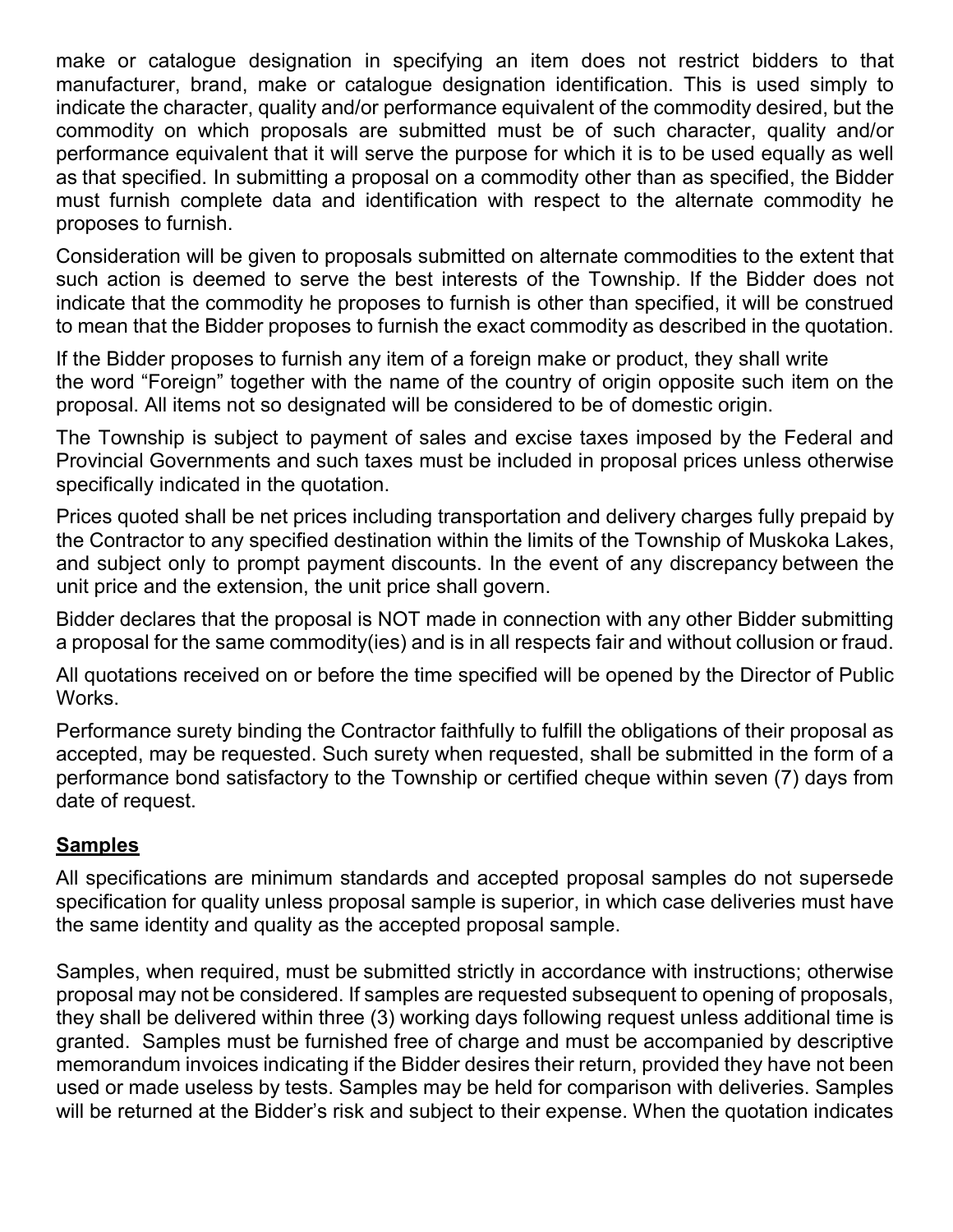make or catalogue designation in specifying an item does not restrict bidders to that manufacturer, brand, make or catalogue designation identification. This is used simply to indicate the character, quality and/or performance equivalent of the commodity desired, but the commodity on which proposals are submitted must be of such character, quality and/or performance equivalent that it will serve the purpose for which it is to be used equally as well as that specified. In submitting a proposal on a commodity other than as specified, the Bidder must furnish complete data and identification with respect to the alternate commodity he proposes to furnish.

Consideration will be given to proposals submitted on alternate commodities to the extent that such action is deemed to serve the best interests of the Township. If the Bidder does not indicate that the commodity he proposes to furnish is other than specified, it will be construed to mean that the Bidder proposes to furnish the exact commodity as described in the quotation.

If the Bidder proposes to furnish any item of a foreign make or product, they shall write the word "Foreign" together with the name of the country of origin opposite such item on the proposal. All items not so designated will be considered to be of domestic origin.

The Township is subject to payment of sales and excise taxes imposed by the Federal and Provincial Governments and such taxes must be included in proposal prices unless otherwise specifically indicated in the quotation.

Prices quoted shall be net prices including transportation and delivery charges fully prepaid by the Contractor to any specified destination within the limits of the Township of Muskoka Lakes, and subject only to prompt payment discounts. In the event of any discrepancy between the unit price and the extension, the unit price shall govern.

Bidder declares that the proposal is NOT made in connection with any other Bidder submitting a proposal for the same commodity(ies) and is in all respects fair and without collusion or fraud.

All quotations received on or before the time specified will be opened by the Director of Public Works.

Performance surety binding the Contractor faithfully to fulfill the obligations of their proposal as accepted, may be requested. Such surety when requested, shall be submitted in the form of a performance bond satisfactory to the Township or certified cheque within seven (7) days from date of request.

# **Samples**

All specifications are minimum standards and accepted proposal samples do not supersede specification for quality unless proposal sample is superior, in which case deliveries must have the same identity and quality as the accepted proposal sample.

Samples, when required, must be submitted strictly in accordance with instructions; otherwise proposal may not be considered. If samples are requested subsequent to opening of proposals, they shall be delivered within three (3) working days following request unless additional time is granted. Samples must be furnished free of charge and must be accompanied by descriptive memorandum invoices indicating if the Bidder desires their return, provided they have not been used or made useless by tests. Samples may be held for comparison with deliveries. Samples will be returned at the Bidder's risk and subject to their expense. When the quotation indicates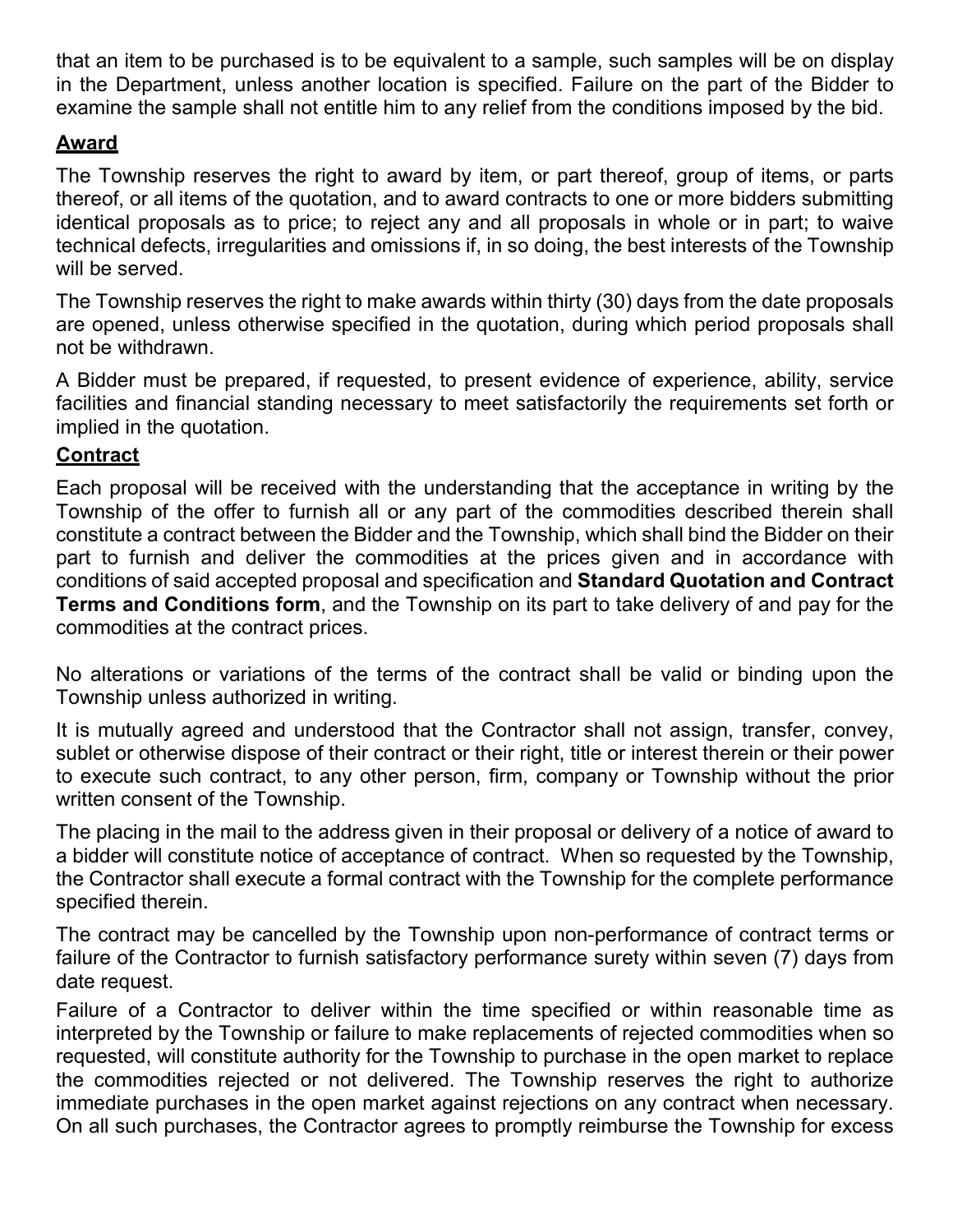that an item to be purchased is to be equivalent to a sample, such samples will be on display in the Department, unless another location is specified. Failure on the part of the Bidder to examine the sample shall not entitle him to any relief from the conditions imposed by the bid.

# **Award**

The Township reserves the right to award by item, or part thereof, group of items, or parts thereof, or all items of the quotation, and to award contracts to one or more bidders submitting identical proposals as to price; to reject any and all proposals in whole or in part; to waive technical defects, irregularities and omissions if, in so doing, the best interests of the Township will be served.

The Township reserves the right to make awards within thirty (30) days from the date proposals are opened, unless otherwise specified in the quotation, during which period proposals shall not be withdrawn.

A Bidder must be prepared, if requested, to present evidence of experience, ability, service facilities and financial standing necessary to meet satisfactorily the requirements set forth or implied in the quotation.

# **Contract**

Each proposal will be received with the understanding that the acceptance in writing by the Township of the offer to furnish all or any part of the commodities described therein shall constitute a contract between the Bidder and the Township, which shall bind the Bidder on their part to furnish and deliver the commodities at the prices given and in accordance with conditions of said accepted proposal and specification and **Standard Quotation and Contract Terms and Conditions form**, and the Township on its part to take delivery of and pay for the commodities at the contract prices.

No alterations or variations of the terms of the contract shall be valid or binding upon the Township unless authorized in writing.

It is mutually agreed and understood that the Contractor shall not assign, transfer, convey, sublet or otherwise dispose of their contract or their right, title or interest therein or their power to execute such contract, to any other person, firm, company or Township without the prior written consent of the Township.

The placing in the mail to the address given in their proposal or delivery of a notice of award to a bidder will constitute notice of acceptance of contract. When so requested by the Township, the Contractor shall execute a formal contract with the Township for the complete performance specified therein.

The contract may be cancelled by the Township upon non-performance of contract terms or failure of the Contractor to furnish satisfactory performance surety within seven (7) days from date request.

Failure of a Contractor to deliver within the time specified or within reasonable time as interpreted by the Township or failure to make replacements of rejected commodities when so requested, will constitute authority for the Township to purchase in the open market to replace the commodities rejected or not delivered. The Township reserves the right to authorize immediate purchases in the open market against rejections on any contract when necessary. On all such purchases, the Contractor agrees to promptly reimburse the Township for excess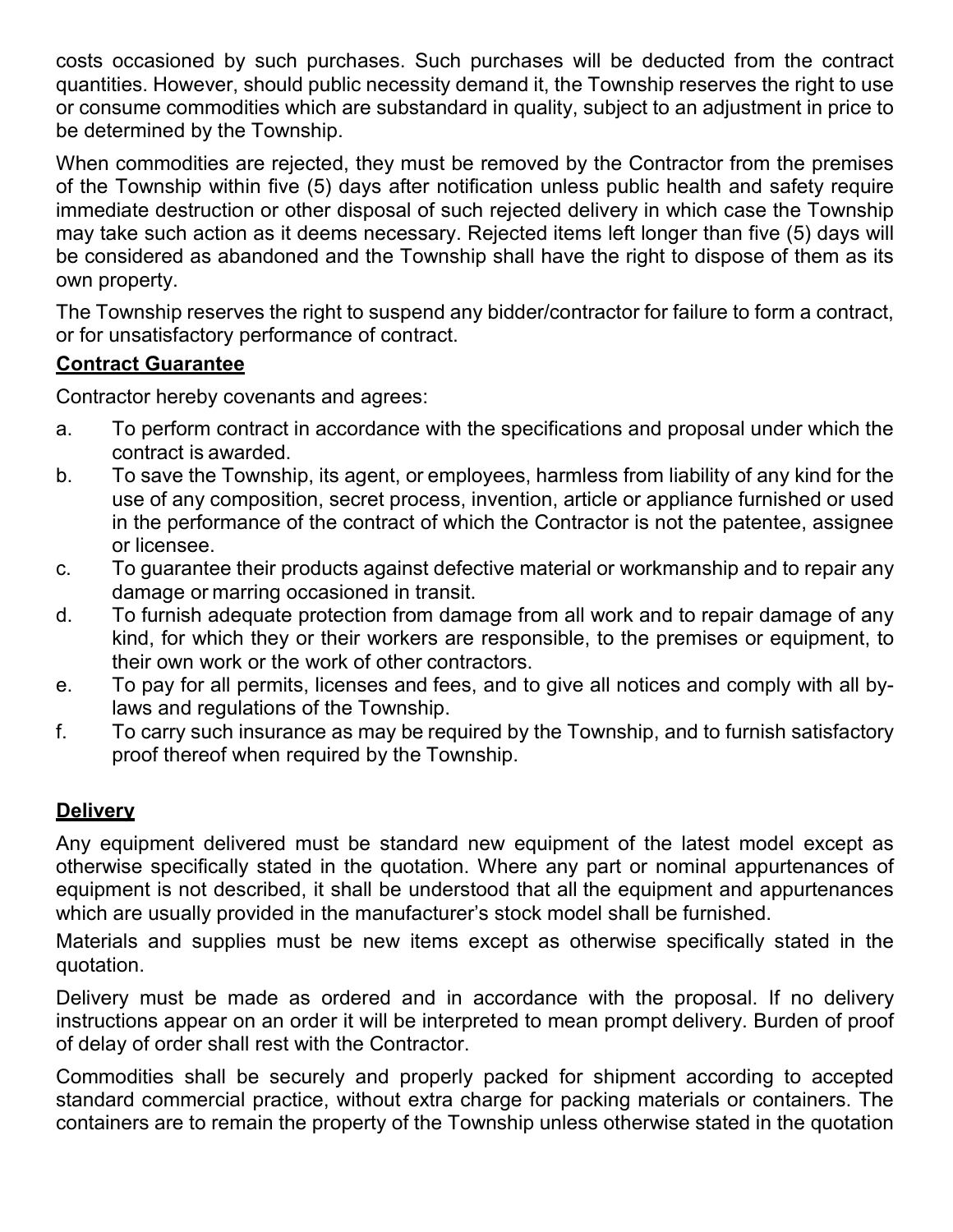costs occasioned by such purchases. Such purchases will be deducted from the contract quantities. However, should public necessity demand it, the Township reserves the right to use or consume commodities which are substandard in quality, subject to an adjustment in price to be determined by the Township.

When commodities are rejected, they must be removed by the Contractor from the premises of the Township within five (5) days after notification unless public health and safety require immediate destruction or other disposal of such rejected delivery in which case the Township may take such action as it deems necessary. Rejected items left longer than five (5) days will be considered as abandoned and the Township shall have the right to dispose of them as its own property.

The Township reserves the right to suspend any bidder/contractor for failure to form a contract, or for unsatisfactory performance of contract.

# **Contract Guarantee**

Contractor hereby covenants and agrees:

- a. To perform contract in accordance with the specifications and proposal under which the contract is awarded.
- b. To save the Township, its agent, or employees, harmless from liability of any kind for the use of any composition, secret process, invention, article or appliance furnished or used in the performance of the contract of which the Contractor is not the patentee, assignee or licensee.
- c. To guarantee their products against defective material or workmanship and to repair any damage or marring occasioned in transit.
- d. To furnish adequate protection from damage from all work and to repair damage of any kind, for which they or their workers are responsible, to the premises or equipment, to their own work or the work of other contractors.
- e. To pay for all permits, licenses and fees, and to give all notices and comply with all bylaws and regulations of the Township.
- f. To carry such insurance as may be required by the Township, and to furnish satisfactory proof thereof when required by the Township.

# **Delivery**

Any equipment delivered must be standard new equipment of the latest model except as otherwise specifically stated in the quotation. Where any part or nominal appurtenances of equipment is not described, it shall be understood that all the equipment and appurtenances which are usually provided in the manufacturer's stock model shall be furnished.

Materials and supplies must be new items except as otherwise specifically stated in the quotation.

Delivery must be made as ordered and in accordance with the proposal. If no delivery instructions appear on an order it will be interpreted to mean prompt delivery. Burden of proof of delay of order shall rest with the Contractor.

Commodities shall be securely and properly packed for shipment according to accepted standard commercial practice, without extra charge for packing materials or containers. The containers are to remain the property of the Township unless otherwise stated in the quotation